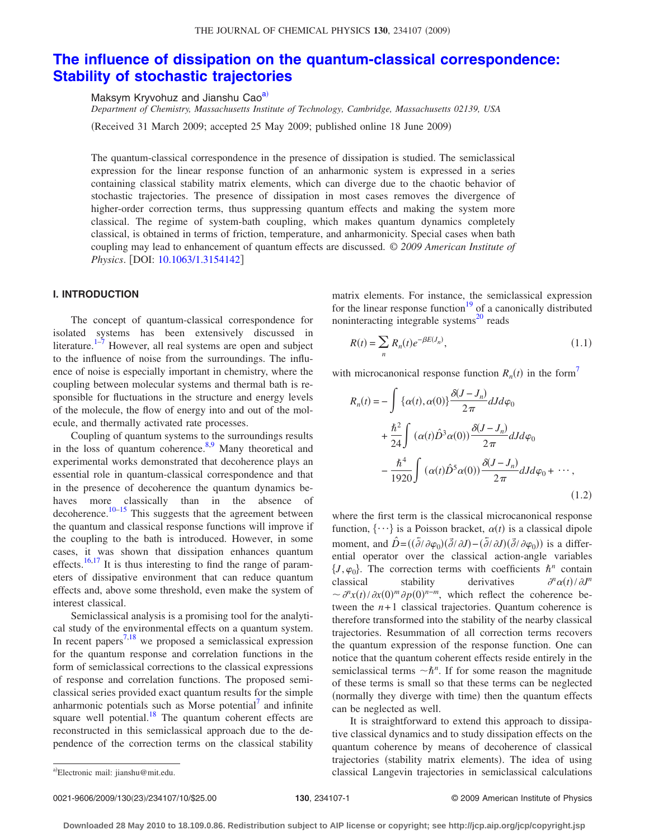# **[The influence of dissipation on the quantum-classical correspondence:](http://dx.doi.org/10.1063/1.3154142) [Stability of stochastic trajectories](http://dx.doi.org/10.1063/1.3154142)**

Maksym Kryvohuz and Jianshu Cao<sup>a)</sup>

*Department of Chemistry, Massachusetts Institute of Technology, Cambridge, Massachusetts 02139, USA* (Received 31 March 2009; accepted 25 May 2009; published online 18 June 2009)

The quantum-classical correspondence in the presence of dissipation is studied. The semiclassical expression for the linear response function of an anharmonic system is expressed in a series containing classical stability matrix elements, which can diverge due to the chaotic behavior of stochastic trajectories. The presence of dissipation in most cases removes the divergence of higher-order correction terms, thus suppressing quantum effects and making the system more classical. The regime of system-bath coupling, which makes quantum dynamics completely classical, is obtained in terms of friction, temperature, and anharmonicity. Special cases when bath coupling may lead to enhancement of quantum effects are discussed. © *2009 American Institute of Physics.* [DOI: [10.1063/1.3154142](http://dx.doi.org/10.1063/1.3154142)]

# **I. INTRODUCTION**

The concept of quantum-classical correspondence for isolated systems has been extensively discussed in literature. $1-\frac{7}{7}$  $1-\frac{7}{7}$  $1-\frac{7}{7}$  However, all real systems are open and subject to the influence of noise from the surroundings. The influence of noise is especially important in chemistry, where the coupling between molecular systems and thermal bath is responsible for fluctuations in the structure and energy levels of the molecule, the flow of energy into and out of the molecule, and thermally activated rate processes.

Coupling of quantum systems to the surroundings results in the loss of quantum coherence. $8,9$  $8,9$  Many theoretical and experimental works demonstrated that decoherence plays an essential role in quantum-classical correspondence and that in the presence of decoherence the quantum dynamics behaves more classically than in the absence of decoherence.<sup>10[–15](#page-9-5)</sup> This suggests that the agreement between the quantum and classical response functions will improve if the coupling to the bath is introduced. However, in some cases, it was shown that dissipation enhances quantum effects.<sup>16,[17](#page-9-7)</sup> It is thus interesting to find the range of parameters of dissipative environment that can reduce quantum effects and, above some threshold, even make the system of interest classical.

Semiclassical analysis is a promising tool for the analytical study of the environmental effects on a quantum system. In recent papers<sup>7,[18](#page-9-8)</sup> we proposed a semiclassical expression for the quantum response and correlation functions in the form of semiclassical corrections to the classical expressions of response and correlation functions. The proposed semiclassical series provided exact quantum results for the simple anharmonic potentials such as Morse potential $\alpha$  and infinite square well potential.<sup>18</sup> The quantum coherent effects are reconstructed in this semiclassical approach due to the dependence of the correction terms on the classical stability

matrix elements. For instance, the semiclassical expression for the linear response function $19$  of a canonically distributed noninteracting integrable systems $^{20}$  reads

<span id="page-0-2"></span>
$$
R(t) = \sum_{n} R_n(t)e^{-\beta E(J_n)},
$$
\n(1.1)

<span id="page-0-1"></span>with microcanonical response function  $R_n(t)$  in the form<sup>7</sup>

$$
R_n(t) = -\int \{\alpha(t), \alpha(0)\} \frac{\delta(J - J_n)}{2\pi} dJ d\varphi_0
$$
  
+ 
$$
\frac{\hbar^2}{24} \int (\alpha(t)\hat{D}^3 \alpha(0)) \frac{\delta(J - J_n)}{2\pi} dJ d\varphi_0
$$
  
- 
$$
\frac{\hbar^4}{1920} \int (\alpha(t)\hat{D}^5 \alpha(0)) \frac{\delta(J - J_n)}{2\pi} dJ d\varphi_0 + \cdots,
$$
(1.2)

where the first term is the classical microcanonical response function,  $\{\cdots\}$  is a Poisson bracket,  $\alpha(t)$  is a classical dipole moment, and  $\hat{D} = ((\bar{\partial}/\partial \varphi_0)(\bar{\partial}/\partial J) - (\bar{\partial}/\partial J)(\bar{\partial}/\partial \varphi_0))$  is a differential operator over the classical action-angle variables  $\{J,\varphi_0\}$ . The correction terms with coefficients  $\hbar^n$  contain classical stability derivatives  $\int$ <sup>*n*</sup> $\alpha(t)$  /  $\partial J^n$  $\sim \frac{\partial^n x(t)}{\partial x(0)^m} \frac{\partial p(0)^{n-m}}{\partial y^n}$ , which reflect the coherence between the  $n+1$  classical trajectories. Quantum coherence is therefore transformed into the stability of the nearby classical trajectories. Resummation of all correction terms recovers the quantum expression of the response function. One can notice that the quantum coherent effects reside entirely in the semiclassical terms  $\neg \hbar^n$ . If for some reason the magnitude of these terms is small so that these terms can be neglected (normally they diverge with time) then the quantum effects can be neglected as well.

It is straightforward to extend this approach to dissipative classical dynamics and to study dissipation effects on the quantum coherence by means of decoherence of classical trajectories (stability matrix elements). The idea of using classical Langevin trajectories in semiclassical calculations

0021-9606/2009/13023/234107/10/\$25.00 © 2009 American Institute of Physics **130**, 234107-1

<span id="page-0-0"></span>Electronic mail: jianshu@mit.edu.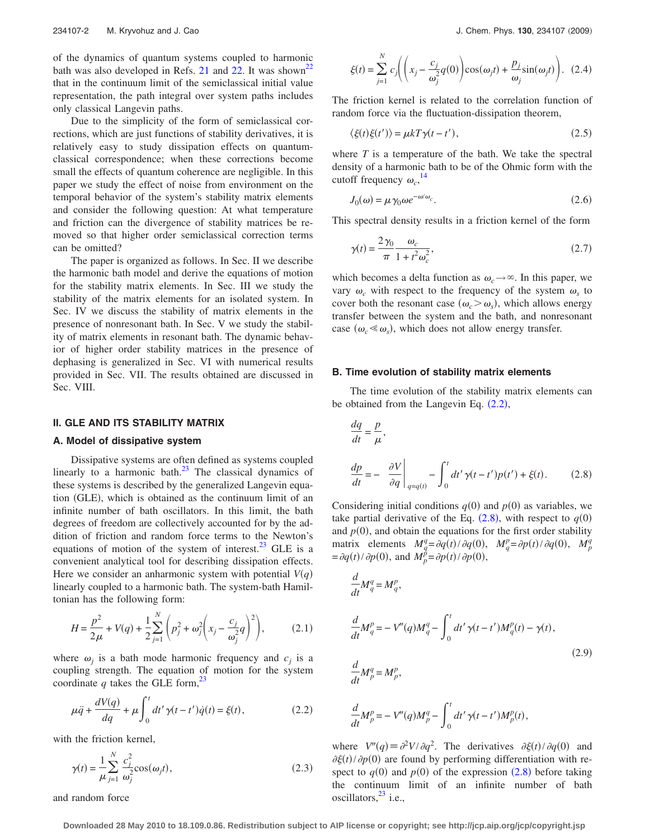of the dynamics of quantum systems coupled to harmonic bath was also developed in Refs. [21](#page-9-11) and [22.](#page-9-12) It was shown<sup>22</sup> that in the continuum limit of the semiclassical initial value representation, the path integral over system paths includes only classical Langevin paths.

Due to the simplicity of the form of semiclassical corrections, which are just functions of stability derivatives, it is relatively easy to study dissipation effects on quantumclassical correspondence; when these corrections become small the effects of quantum coherence are negligible. In this paper we study the effect of noise from environment on the temporal behavior of the system's stability matrix elements and consider the following question: At what temperature and friction can the divergence of stability matrices be removed so that higher order semiclassical correction terms can be omitted?

The paper is organized as follows. In Sec. II we describe the harmonic bath model and derive the equations of motion for the stability matrix elements. In Sec. III we study the stability of the matrix elements for an isolated system. In Sec. IV we discuss the stability of matrix elements in the presence of nonresonant bath. In Sec. V we study the stability of matrix elements in resonant bath. The dynamic behavior of higher order stability matrices in the presence of dephasing is generalized in Sec. VI with numerical results provided in Sec. VII. The results obtained are discussed in Sec. VIII.

## **II. GLE AND ITS STABILITY MATRIX**

#### **A. Model of dissipative system**

Dissipative systems are often defined as systems coupled linearly to a harmonic bath. $^{23}$  The classical dynamics of these systems is described by the generalized Langevin equation (GLE), which is obtained as the continuum limit of an infinite number of bath oscillators. In this limit, the bath degrees of freedom are collectively accounted for by the addition of friction and random force terms to the Newton's equations of motion of the system of interest.<sup>23</sup> GLE is a convenient analytical tool for describing dissipation effects. Here we consider an anharmonic system with potential  $V(q)$ linearly coupled to a harmonic bath. The system-bath Hamiltonian has the following form:

$$
H = \frac{p^2}{2\mu} + V(q) + \frac{1}{2} \sum_{j=1}^{N} \left( p_j^2 + \omega_j^2 \left( x_j - \frac{c_j}{\omega_j^2} q \right)^2 \right), \tag{2.1}
$$

where  $\omega_j$  is a bath mode harmonic frequency and  $c_j$  is a coupling strength. The equation of motion for the system coordinate *q* takes the GLE form,<sup>23</sup>

<span id="page-1-0"></span>
$$
\mu \ddot{q} + \frac{dV(q)}{dq} + \mu \int_0^t dt' \gamma(t - t') \dot{q}(t) = \xi(t),
$$
\n(2.2)

with the friction kernel,

$$
\gamma(t) = \frac{1}{\mu} \sum_{j=1}^{N} \frac{c_j^2}{\omega_j^2} \cos(\omega_j t),
$$
\n(2.3)

and random force

$$
\xi(t) = \sum_{j=1}^{N} c_j \left( \left( x_j - \frac{c_j}{\omega_j^2} q(0) \right) \cos(\omega_j t) + \frac{p_j}{\omega_j} \sin(\omega_j t) \right). \tag{2.4}
$$

The friction kernel is related to the correlation function of random force via the fluctuation-dissipation theorem,

$$
\langle \xi(t)\xi(t')\rangle = \mu k T \gamma(t - t'),\tag{2.5}
$$

where *T* is a temperature of the bath. We take the spectral density of a harmonic bath to be of the Ohmic form with the cutoff frequency  $\omega_c$ ,<sup>[14](#page-9-14)</sup>

$$
J_0(\omega) = \mu \gamma_0 \omega e^{-\omega/\omega_c}.
$$
 (2.6)

<span id="page-1-4"></span><span id="page-1-3"></span>This spectral density results in a friction kernel of the form

$$
\gamma(t) = \frac{2\gamma_0}{\pi} \frac{\omega_c}{1 + t^2 \omega_c^2},\tag{2.7}
$$

which becomes a delta function as  $\omega_c \rightarrow \infty$ . In this paper, we vary  $\omega_c$  with respect to the frequency of the system  $\omega_s$  to cover both the resonant case  $(\omega_c > \omega_s)$ , which allows energy transfer between the system and the bath, and nonresonant case  $(\omega_c \ll \omega_s)$ , which does not allow energy transfer.

#### **B. Time evolution of stability matrix elements**

The time evolution of the stability matrix elements can be obtained from the Langevin Eq.  $(2.2)$  $(2.2)$  $(2.2)$ ,

<span id="page-1-1"></span>
$$
\frac{dq}{dt} = \frac{p}{\mu},
$$
\n
$$
\frac{dp}{dt} = -\frac{\partial V}{\partial q}\bigg|_{q=q(t)} - \int_0^t dt' \gamma(t - t')p(t') + \xi(t). \tag{2.8}
$$

Considering initial conditions  $q(0)$  and  $p(0)$  as variables, we take partial derivative of the Eq.  $(2.8)$  $(2.8)$  $(2.8)$ , with respect to  $q(0)$ and  $p(0)$ , and obtain the equations for the first order stability matrix elements  $M_q^q = \partial q(t) / \partial q(0)$ ,  $M_q^p = \partial p(t) / \partial q(0)$ ,  $M_p^q$  $=$  $\partial q(t)/\partial p(0)$ , and  $M_p^{\tilde{p}} = \partial p(t)/\partial p(0)$ ,

<span id="page-1-2"></span>
$$
\frac{d}{dt}M_q^q = M_q^p,
$$
\n
$$
\frac{d}{dt}M_q^p = -V''(q)M_q^q - \int_0^t dt' \gamma(t-t')M_q^p(t) - \gamma(t),
$$
\n
$$
\frac{d}{dt}M_p^q = M_p^p,
$$
\n(2.9)

$$
\frac{d}{dt}M_p^p = -V''(q)M_p^q - \int_0^t dt' \gamma(t-t')M_p^p(t),
$$

where  $V''(q) \equiv \partial^2 V / \partial q^2$ . The derivatives  $\partial \xi(t) / \partial q(0)$  and  $\partial \xi(t) / \partial p(0)$  are found by performing differentiation with respect to  $q(0)$  and  $p(0)$  of the expression  $(2.8)$  $(2.8)$  $(2.8)$  before taking the continuum limit of an infinite number of bath oscillators, $^{23}$  i.e.,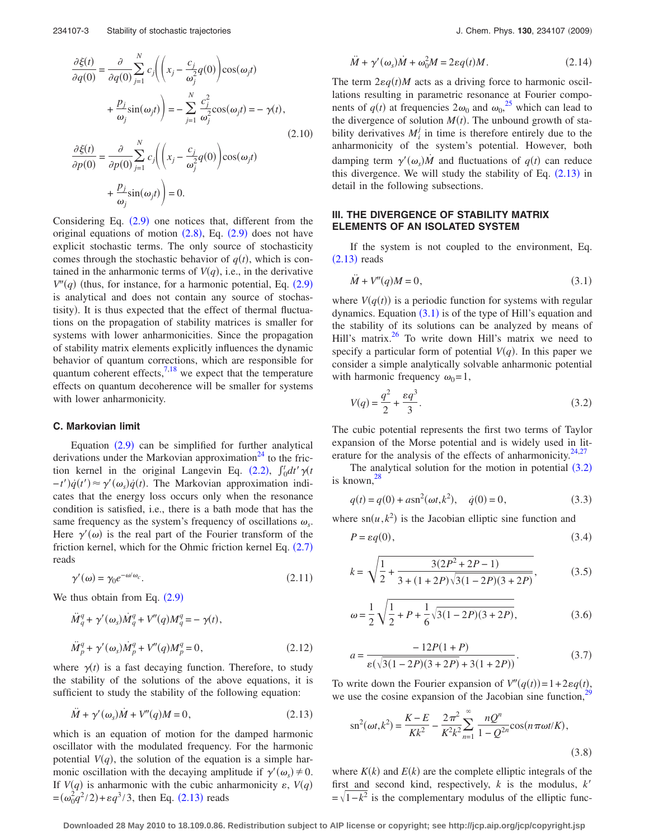$$
\frac{\partial \xi(t)}{\partial q(0)} = \frac{\partial}{\partial q(0)} \sum_{j=1}^{N} c_j \left( \left( x_j - \frac{c_j}{\omega_j^2} q(0) \right) \cos(\omega_j t) + \frac{p_j}{\omega_j} \sin(\omega_j t) \right) = -\sum_{j=1}^{N} \frac{c_j^2}{\omega_j^2} \cos(\omega_j t) = -\gamma(t),
$$
\n
$$
\frac{\partial \xi(t)}{\partial p(0)} = \frac{\partial}{\partial p(0)} \sum_{j=1}^{N} c_j \left( \left( x_j - \frac{c_j}{\omega_j^2} q(0) \right) \cos(\omega_j t) + \frac{p_j}{\omega_j} \sin(\omega_j t) \right) = 0.
$$
\n(2.10)

Considering Eq.  $(2.9)$  $(2.9)$  $(2.9)$  one notices that, different from the original equations of motion  $(2.8)$  $(2.8)$  $(2.8)$ , Eq.  $(2.9)$  $(2.9)$  $(2.9)$  does not have explicit stochastic terms. The only source of stochasticity comes through the stochastic behavior of  $q(t)$ , which is contained in the anharmonic terms of  $V(q)$ , i.e., in the derivative  $V''(q)$  (thus, for instance, for a harmonic potential, Eq.  $(2.9)$  $(2.9)$  $(2.9)$ is analytical and does not contain any source of stochastisity). It is thus expected that the effect of thermal fluctuations on the propagation of stability matrices is smaller for systems with lower anharmonicities. Since the propagation of stability matrix elements explicitly influences the dynamic behavior of quantum corrections, which are responsible for quantum coherent effects, $7,18$  $7,18$  we expect that the temperature effects on quantum decoherence will be smaller for systems with lower anharmonicity.

#### **C. Markovian limit**

Equation  $(2.9)$  $(2.9)$  $(2.9)$  can be simplified for further analytical derivations under the Markovian approximation<sup>24</sup> to the fric-tion kernel in the original Langevin Eq. ([2.2](#page-1-0)),  $\int_0^t dt' \gamma(t)$  $(-t')\dot{q}(t') \approx \gamma'(\omega_s)\dot{q}(t)$ . The Markovian approximation indicates that the energy loss occurs only when the resonance condition is satisfied, i.e., there is a bath mode that has the same frequency as the system's frequency of oscillations  $\omega_s$ . Here  $\gamma'(\omega)$  is the real part of the Fourier transform of the friction kernel, which for the Ohmic friction kernel Eq.  $(2.7)$  $(2.7)$  $(2.7)$ reads

$$
\gamma'(\omega) = \gamma_0 e^{-\omega/\omega_c}.\tag{2.11}
$$

<span id="page-2-4"></span><span id="page-2-3"></span>We thus obtain from Eq.  $(2.9)$  $(2.9)$  $(2.9)$ 

$$
\ddot{M}_q^q + \gamma'(\omega_s) \dot{M}_q^q + V''(q) M_q^q = -\gamma(t),
$$
  

$$
\ddot{M}_p^q + \gamma'(\omega_s) \dot{M}_p^q + V''(q) M_p^q = 0,
$$
 (2.12)

where  $\gamma(t)$  is a fast decaying function. Therefore, to study the stability of the solutions of the above equations, it is sufficient to study the stability of the following equation:

<span id="page-2-0"></span>
$$
\ddot{M} + \gamma'(\omega_s)\dot{M} + V''(q)M = 0,\tag{2.13}
$$

which is an equation of motion for the damped harmonic oscillator with the modulated frequency. For the harmonic potential  $V(q)$ , the solution of the equation is a simple harmonic oscillation with the decaying amplitude if  $\gamma'(\omega_s) \neq 0$ . If  $V(q)$  is anharmonic with the cubic anharmonicity  $\varepsilon$ ,  $V(q)$  $=(\omega_0^2 q^2/2) + \varepsilon q^3/3$ , then Eq. ([2.13](#page-2-0)) reads

$$
\ddot{M} + \gamma'(\omega_s)\dot{M} + \omega_0^2 M = 2\varepsilon q(t)M. \tag{2.14}
$$

The term  $2\varepsilon q(t)M$  acts as a driving force to harmonic oscillations resulting in parametric resonance at Fourier components of  $q(t)$  at frequencies  $2\omega_0$  and  $\omega_0$ <sup>[25](#page-9-16)</sup>, which can lead to the divergence of solution  $M(t)$ . The unbound growth of stability derivatives  $M_i^j$  in time is therefore entirely due to the anharmonicity of the system's potential. However, both damping term  $\gamma'(\omega_s)\dot{M}$  and fluctuations of  $q(t)$  can reduce this divergence. We will study the stability of Eq.  $(2.13)$  $(2.13)$  $(2.13)$  in detail in the following subsections.

## **III. THE DIVERGENCE OF STABILITY MATRIX ELEMENTS OF AN ISOLATED SYSTEM**

<span id="page-2-1"></span>If the system is not coupled to the environment, Eq.  $(2.13)$  $(2.13)$  $(2.13)$  reads

$$
\ddot{M} + V''(q)M = 0,\tag{3.1}
$$

where  $V(q(t))$  is a periodic function for systems with regular dynamics. Equation  $(3.1)$  $(3.1)$  $(3.1)$  is of the type of Hill's equation and the stability of its solutions can be analyzed by means of Hill's matrix. $^{26}$  To write down Hill's matrix we need to specify a particular form of potential  $V(q)$ . In this paper we consider a simple analytically solvable anharmonic potential with harmonic frequency  $\omega_0=1$ ,

<span id="page-2-2"></span>
$$
V(q) = \frac{q^2}{2} + \frac{\varepsilon q^3}{3}.
$$
\n(3.2)

The cubic potential represents the first two terms of Taylor expansion of the Morse potential and is widely used in lit-erature for the analysis of the effects of anharmonicity.<sup>24[,27](#page-9-18)</sup>

The analytical solution for the motion in potential  $(3.2)$  $(3.2)$  $(3.2)$ is known[,28](#page-9-19)

$$
q(t) = q(0) + a\operatorname{sn}^2(\omega t, k^2), \quad \dot{q}(0) = 0,
$$
\n(3.3)

where  $\text{sn}(u, k^2)$  is the Jacobian elliptic sine function and

$$
P = \varepsilon q(0),\tag{3.4}
$$

$$
k = \sqrt{\frac{1}{2} + \frac{3(2P^2 + 2P - 1)}{3 + (1 + 2P)\sqrt{3(1 - 2P)(3 + 2P)}}},
$$
(3.5)

$$
\omega = \frac{1}{2} \sqrt{\frac{1}{2} + P + \frac{1}{6} \sqrt{3(1 - 2P)(3 + 2P)}},\tag{3.6}
$$

$$
a = \frac{-12P(1+P)}{\varepsilon(\sqrt{3(1-2P)(3+2P)}+3(1+2P))}.
$$
\n(3.7)

To write down the Fourier expansion of  $V''(q(t)) = 1 + 2\varepsilon q(t)$ , we use the cosine expansion of the Jacobian sine function, $29$ 

$$
\operatorname{sn}^{2}(\omega t, k^{2}) = \frac{K - E}{Kk^{2}} - \frac{2\pi^{2}}{K^{2}k^{2}} \sum_{n=1}^{\infty} \frac{nQ^{n}}{1 - Q^{2n}} \cos(n\pi\omega t/K),
$$
\n(3.8)

where  $K(k)$  and  $E(k)$  are the complete elliptic integrals of the first and second kind, respectively, *k* is the modulus, *k*  $=\sqrt{1-k^2}$  is the complementary modulus of the elliptic func-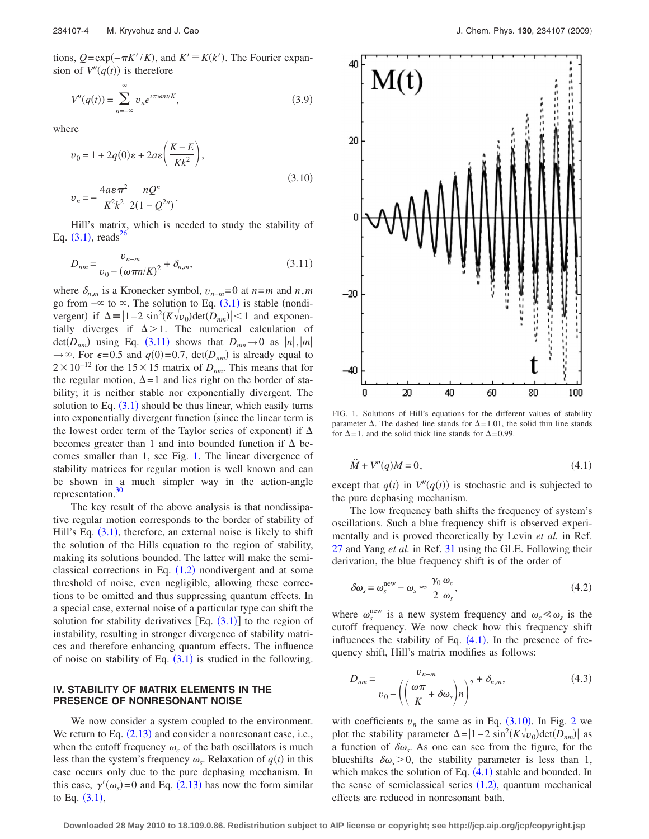tions,  $Q = \exp(-\pi K'/K)$ , and  $K' \equiv K(k')$ . The Fourier expansion of  $V''(q(t))$  is therefore

$$
V''(q(t)) = \sum_{n=-\infty}^{\infty} v_n e^{i\pi \omega n t/K},
$$
\n(3.9)

<span id="page-3-3"></span>where

$$
v_0 = 1 + 2q(0)\varepsilon + 2a\varepsilon \left(\frac{K - E}{Kk^2}\right),
$$
  

$$
v_n = -\frac{4a\varepsilon \pi^2}{K^2k^2} \frac{nQ^n}{2(1 - Q^{2n})}.
$$
 (3.10)

Hill's matrix, which is needed to study the stability of Eq.  $(3.1)$  $(3.1)$  $(3.1)$ , reads<sup>26</sup>

<span id="page-3-0"></span>
$$
D_{nm} = \frac{v_{n-m}}{v_0 - (\omega \pi n / K)^2} + \delta_{n,m},
$$
\n(3.11)

where  $\delta_{n,m}$  is a Kronecker symbol,  $v_{n-m}$ =0 at  $n=m$  and  $n,m$ go from  $-\infty$  to  $\infty$ . The solution to Eq. ([3.1](#page-2-1)) is stable (nondivergent) if  $\Delta = |1-2 \sin^2(K\sqrt{v_0})\det(D_{nm})| < 1$  and exponentially diverges if  $\Delta > 1$ . The numerical calculation of det( $D_{nm}$ ) using Eq. ([3.11](#page-3-0)) shows that  $D_{nm} \to 0$  as  $|n|, |m|$  $\rightarrow \infty$ . For  $\epsilon = 0.5$  and  $q(0) = 0.7$ ,  $\det(D_{nm})$  is already equal to  $2 \times 10^{-12}$  for the 15×15 matrix of *D<sub>nm</sub>*. This means that for the regular motion,  $\Delta = 1$  and lies right on the border of stability; it is neither stable nor exponentially divergent. The solution to Eq.  $(3.1)$  $(3.1)$  $(3.1)$  should be thus linear, which easily turns into exponentially divergent function (since the linear term is the lowest order term of the Taylor series of exponent) if  $\Delta$ becomes greater than 1 and into bounded function if  $\Delta$  becomes smaller than 1, see Fig. [1.](#page-3-1) The linear divergence of stability matrices for regular motion is well known and can be shown in a much simpler way in the action-angle representation.<sup>30</sup>

The key result of the above analysis is that nondissipative regular motion corresponds to the border of stability of Hill's Eq. ([3.1](#page-2-1)), therefore, an external noise is likely to shift the solution of the Hills equation to the region of stability, making its solutions bounded. The latter will make the semiclassical corrections in Eq.  $(1.2)$  $(1.2)$  $(1.2)$  nondivergent and at some threshold of noise, even negligible, allowing these corrections to be omitted and thus suppressing quantum effects. In a special case, external noise of a particular type can shift the solution for stability derivatives  $[Eq. (3.1)]$  $[Eq. (3.1)]$  $[Eq. (3.1)]$  to the region of instability, resulting in stronger divergence of stability matrices and therefore enhancing quantum effects. The influence of noise on stability of Eq.  $(3.1)$  $(3.1)$  $(3.1)$  is studied in the following.

## **IV. STABILITY OF MATRIX ELEMENTS IN THE PRESENCE OF NONRESONANT NOISE**

We now consider a system coupled to the environment. We return to Eq.  $(2.13)$  $(2.13)$  $(2.13)$  and consider a nonresonant case, i.e., when the cutoff frequency  $\omega_c$  of the bath oscillators is much less than the system's frequency  $\omega_s$ . Relaxation of  $q(t)$  in this case occurs only due to the pure dephasing mechanism. In this case,  $\gamma'(\omega_s) = 0$  and Eq. ([2.13](#page-2-0)) has now the form similar to Eq.  $(3.1),$  $(3.1),$  $(3.1),$ 

<span id="page-3-1"></span>

FIG. 1. Solutions of Hill's equations for the different values of stability parameter  $\Delta$ . The dashed line stands for  $\Delta = 1.01$ , the solid thin line stands for  $\Delta = 1$ , and the solid thick line stands for  $\Delta = 0.99$ .

<span id="page-3-2"></span>
$$
\ddot{M} + V''(q)M = 0,\t\t(4.1)
$$

except that  $q(t)$  in  $V''(q(t))$  is stochastic and is subjected to the pure dephasing mechanism.

The low frequency bath shifts the frequency of system's oscillations. Such a blue frequency shift is observed experimentally and is proved theoretically by Levin *et al.* in Ref. [27](#page-9-18) and Yang *et al.* in Ref. [31](#page-9-22) using the GLE. Following their derivation, the blue frequency shift is of the order of

$$
\delta \omega_s = \omega_s^{\text{new}} - \omega_s \approx \frac{\gamma_0}{2} \frac{\omega_c}{\omega_s},\tag{4.2}
$$

where  $\omega_s^{\text{new}}$  is a new system frequency and  $\omega_c \ll \omega_s$  is the cutoff frequency. We now check how this frequency shift influences the stability of Eq.  $(4.1)$  $(4.1)$  $(4.1)$ . In the presence of frequency shift, Hill's matrix modifies as follows:

$$
D_{nm} = \frac{v_{n-m}}{v_0 - \left(\left(\frac{\omega \pi}{K} + \delta \omega_s\right)n\right)^2} + \delta_{n,m},\tag{4.3}
$$

with coefficients  $v_n$  the same as in Eq.  $(3.10)$  $(3.10)$  $(3.10)$ . In Fig. [2](#page-4-0) we plot the stability parameter  $\Delta = |1-2 \sin^2(K \sqrt{v_0}) \det(D_{nm})|$  as a function of  $\delta \omega_{s}$ . As one can see from the figure, for the blueshifts  $\delta \omega$ <sub>s</sub> > 0, the stability parameter is less than 1, which makes the solution of Eq.  $(4.1)$  $(4.1)$  $(4.1)$  stable and bounded. In the sense of semiclassical series  $(1.2)$  $(1.2)$  $(1.2)$ , quantum mechanical effects are reduced in nonresonant bath.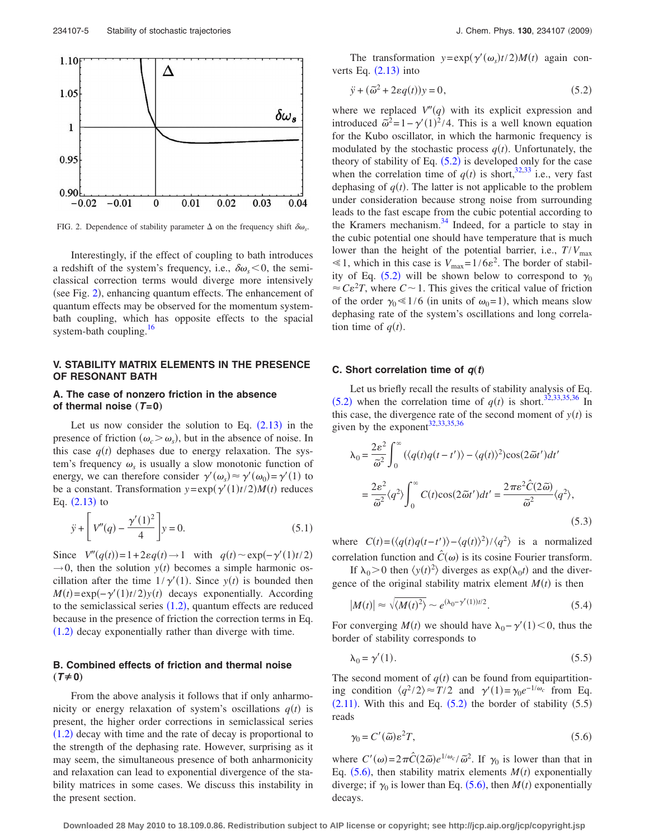<span id="page-4-0"></span>

FIG. 2. Dependence of stability parameter  $\Delta$  on the frequency shift  $\delta \omega_{s}$ .

Interestingly, if the effect of coupling to bath introduces a redshift of the system's frequency, i.e.,  $\delta \omega_s < 0$ , the semiclassical correction terms would diverge more intensively (see Fig. [2](#page-4-0)), enhancing quantum effects. The enhancement of quantum effects may be observed for the momentum systembath coupling, which has opposite effects to the spacial system-bath coupling.<sup>16</sup>

# **V. STABILITY MATRIX ELEMENTS IN THE PRESENCE OF RESONANT BATH**

# **A. The case of nonzero friction in the absence** of thermal noise  $(T=0)$

Let us now consider the solution to Eq.  $(2.13)$  $(2.13)$  $(2.13)$  in the presence of friction  $(\omega_c > \omega_s)$ , but in the absence of noise. In this case  $q(t)$  dephases due to energy relaxation. The system's frequency  $\omega_s$  is usually a slow monotonic function of energy, we can therefore consider  $\gamma'(\omega_s) \approx \gamma'(\omega_0) = \gamma'(1)$  to be a constant. Transformation  $y = exp(\gamma'(1)t/2)M(t)$  reduces Eq.  $(2.13)$  $(2.13)$  $(2.13)$  to

$$
\ddot{y} + \left[ V''(q) - \frac{\gamma'(1)^2}{4} \right] y = 0.
$$
\n(5.1)

Since  $V''(q(t)) = 1 + 2\varepsilon q(t) \rightarrow 1$  with  $q(t) \sim \exp(-\gamma'(1)t/2)$  $\rightarrow$  0, then the solution *y(t)* becomes a simple harmonic oscillation after the time  $1/\gamma'(1)$ . Since  $y(t)$  is bounded then  $M(t) = \exp(-\gamma'(1)t/2)y(t)$  decays exponentially. According to the semiclassical series  $(1.2)$  $(1.2)$  $(1.2)$ , quantum effects are reduced because in the presence of friction the correction terms in Eq.  $(1.2)$  $(1.2)$  $(1.2)$  decay exponentially rather than diverge with time.

#### **B. Combined effects of friction and thermal noise**  $(T \neq 0)$

From the above analysis it follows that if only anharmonicity or energy relaxation of system's oscillations  $q(t)$  is present, the higher order corrections in semiclassical series  $(1.2)$  $(1.2)$  $(1.2)$  decay with time and the rate of decay is proportional to the strength of the dephasing rate. However, surprising as it may seem, the simultaneous presence of both anharmonicity and relaxation can lead to exponential divergence of the stability matrices in some cases. We discuss this instability in the present section.

The transformation  $y = exp(\gamma'(\omega_s)t/2)M(t)$  again converts Eq.  $(2.13)$  $(2.13)$  $(2.13)$  into

$$
\ddot{y} + (\tilde{\omega}^2 + 2\varepsilon q(t))y = 0,\tag{5.2}
$$

<span id="page-4-1"></span>where we replaced  $V''(q)$  with its explicit expression and introduced  $\tilde{\omega}^2 = 1 - \gamma'(1)^2/4$ . This is a well known equation for the Kubo oscillator, in which the harmonic frequency is modulated by the stochastic process  $q(t)$ . Unfortunately, the theory of stability of Eq.  $(5.2)$  $(5.2)$  $(5.2)$  is developed only for the case when the correlation time of  $q(t)$  is short,  $32,33$  $32,33$  i.e., very fast dephasing of  $q(t)$ . The latter is not applicable to the problem under consideration because strong noise from surrounding leads to the fast escape from the cubic potential according to the Kramers mechanism.<sup>34</sup> Indeed, for a particle to stay in the cubic potential one should have temperature that is much lower than the height of the potential barrier, i.e.,  $T/V_{\text{max}}$  $\leq 1$ , which in this case is  $V_{\text{max}} = 1/6\varepsilon^2$ . The border of stabil-ity of Eq. ([5.2](#page-4-1)) will be shown below to correspond to  $\gamma_0$  $\approx C \varepsilon^2 T$ , where  $C \sim 1$ . This gives the critical value of friction of the order  $\gamma_0 \ll 1/6$  (in units of  $\omega_0 = 1$ ), which means slow dephasing rate of the system's oscillations and long correlation time of  $q(t)$ .

#### **C.** Short correlation time of  $q(t)$

Let us briefly recall the results of stability analysis of Eq.  $(5.2)$  $(5.2)$  $(5.2)$  when the correlation time of  $q(t)$  is short.<sup>32[,33,](#page-9-24)[35](#page-9-26)[,36](#page-9-27)</sup> In this case, the divergence rate of the second moment of  $y(t)$  is given by the exponent<sup>32[,33,](#page-9-24)[35,](#page-9-26)[36](#page-9-27)</sup>

$$
\lambda_0 = \frac{2\varepsilon^2}{\tilde{\omega}^2} \int_0^\infty (\langle q(t)q(t-t')\rangle - \langle q(t)\rangle^2) \cos(2\tilde{\omega}t')dt'
$$
  

$$
= \frac{2\varepsilon^2}{\tilde{\omega}^2} \langle q^2 \rangle \int_0^\infty C(t) \cos(2\tilde{\omega}t')dt' = \frac{2\pi\varepsilon^2 \hat{C}(2\tilde{\omega})}{\tilde{\omega}^2} \langle q^2 \rangle,
$$
(5.3)

where  $C(t) = (\langle q(t)q(t-t')\rangle - \langle q(t)\rangle^2)/\langle q^2\rangle$  is a normalized correlation function and  $\hat{C}(\omega)$  is its cosine Fourier transform.

If  $\lambda_0 > 0$  then  $\langle y(t)^2 \rangle$  diverges as  $\exp(\lambda_0 t)$  and the divergence of the original stability matrix element  $M(t)$  is then

$$
|M(t)| \approx \sqrt{\langle M(t)^2 \rangle} \sim e^{(\lambda_0 - \gamma'(1))t/2}.
$$
 (5.4)

For converging  $M(t)$  we should have  $\lambda_0 - \gamma'(1) < 0$ , thus the border of stability corresponds to

$$
\lambda_0 = \gamma'(1). \tag{5.5}
$$

The second moment of  $q(t)$  can be found from equipartitioning condition  $\langle q^2/2 \rangle \approx T/2$  and  $\gamma'(1) = \gamma_0 e^{-1/\omega_c}$  from Eq.  $(2.11)$  $(2.11)$  $(2.11)$ . With this and Eq.  $(5.2)$  $(5.2)$  $(5.2)$  the border of stability  $(5.5)$ reads

$$
\gamma_0 = C'(\tilde{\omega})\varepsilon^2 T,\tag{5.6}
$$

<span id="page-4-2"></span>where  $C'(\omega) = 2\pi \hat{C} (2\tilde{\omega}) e^{1/\omega_c}/\tilde{\omega}^2$ . If  $\gamma_0$  is lower than that in Eq.  $(5.6)$  $(5.6)$  $(5.6)$ , then stability matrix elements  $M(t)$  exponentially diverge; if  $\gamma_0$  is lower than Eq. ([5.6](#page-4-2)), then *M*(*t*) exponentially decays.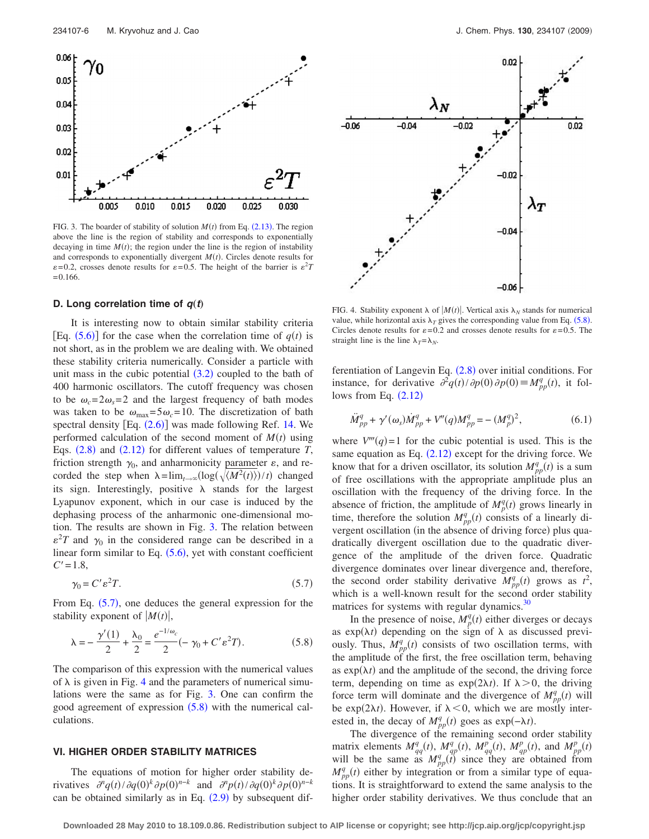<span id="page-5-0"></span>

FIG. 3. The boarder of stability of solution  $M(t)$  from Eq.  $(2.13)$  $(2.13)$  $(2.13)$ . The region above the line is the region of stability and corresponds to exponentially decaying in time  $M(t)$ ; the region under the line is the region of instability and corresponds to exponentially divergent  $M(t)$ . Circles denote results for  $\varepsilon$ =0.2, crosses denote results for  $\varepsilon$ =0.5. The height of the barrier is  $\varepsilon$ <sup>2</sup>*T*  $=0.166$ .

#### **D.** Long correlation time of  $q(t)$

It is interesting now to obtain similar stability criteria [Eq.  $(5.6)$  $(5.6)$  $(5.6)$ ] for the case when the correlation time of  $q(t)$  is not short, as in the problem we are dealing with. We obtained these stability criteria numerically. Consider a particle with unit mass in the cubic potential  $(3.2)$  $(3.2)$  $(3.2)$  coupled to the bath of 400 harmonic oscillators. The cutoff frequency was chosen to be  $\omega_c = 2\omega_s = 2$  and the largest frequency of bath modes was taken to be  $\omega_{\text{max}} = 5 \omega_c = 10$ . The discretization of bath spectral density  $[Eq. (2.6)]$  $[Eq. (2.6)]$  $[Eq. (2.6)]$  was made following Ref. [14.](#page-9-14) We performed calculation of the second moment of  $M(t)$  using Eqs.  $(2.8)$  $(2.8)$  $(2.8)$  and  $(2.12)$  $(2.12)$  $(2.12)$  for different values of temperature *T*, friction strength  $\gamma_0$ , and anharmonicity parameter  $\varepsilon$ , and recorded the step when  $\lambda = \lim_{t \to \infty} (\log(\sqrt{\langle M^2(t) \rangle})/t)$  changed its sign. Interestingly, positive  $\lambda$  stands for the largest Lyapunov exponent, which in our case is induced by the dephasing process of the anharmonic one-dimensional motion. The results are shown in Fig. [3.](#page-5-0) The relation between  $\varepsilon^2 T$  and  $\gamma_0$  in the considered range can be described in a linear form similar to Eq.  $(5.6)$  $(5.6)$  $(5.6)$ , yet with constant coefficient  $C' = 1.8$ ,

$$
\gamma_0 = C' \varepsilon^2 T. \tag{5.7}
$$

<span id="page-5-1"></span>From Eq. ([5.7](#page-5-1)), one deduces the general expression for the stability exponent of  $|M(t)|$ ,

<span id="page-5-3"></span>
$$
\lambda = -\frac{\gamma'(1)}{2} + \frac{\lambda_0}{2} = \frac{e^{-1/\omega_c}}{2} (-\gamma_0 + C' \varepsilon^2 T). \tag{5.8}
$$

The comparison of this expression with the numerical values of  $\lambda$  is given in Fig. [4](#page-5-2) and the parameters of numerical simulations were the same as for Fig. [3.](#page-5-0) One can confirm the good agreement of expression  $(5.8)$  $(5.8)$  $(5.8)$  with the numerical calculations.

#### **VI. HIGHER ORDER STABILITY MATRICES**

The equations of motion for higher order stability derivatives  $\partial^n q(t) / \partial q(0)^k \partial p(0)^{n-k}$  and  $\partial^n p(t) / \partial q(0)^k \partial p(0)^{n-k}$ can be obtained similarly as in Eq.  $(2.9)$  $(2.9)$  $(2.9)$  by subsequent dif-

<span id="page-5-2"></span>

FIG. 4. Stability exponent  $\lambda$  of  $|M(t)|$ . Vertical axis  $\lambda_N$  stands for numerical value, while horizontal axis  $\lambda_T$  gives the corresponding value from Eq. ([5.8](#page-5-3)). Circles denote results for  $\varepsilon = 0.2$  and crosses denote results for  $\varepsilon = 0.5$ . The straight line is the line  $\lambda_T = \lambda_N$ .

ferentiation of Langevin Eq.  $(2.8)$  $(2.8)$  $(2.8)$  over initial conditions. For instance, for derivative  $\partial^2 q(t)/\partial p(0) \partial p(0) \equiv M_{pp}^q(t)$ , it follows from Eq.  $(2.12)$  $(2.12)$  $(2.12)$ 

<span id="page-5-4"></span>
$$
\ddot{M}_{pp}^{q} + \gamma'(\omega_s) \dot{M}_{pp}^{q} + V''(q) M_{pp}^{q} = -(M_p^q)^2, \qquad (6.1)
$$

where  $V'''(q)=1$  for the cubic potential is used. This is the same equation as Eq.  $(2.12)$  $(2.12)$  $(2.12)$  except for the driving force. We know that for a driven oscillator, its solution  $M_{pp}^q(t)$  is a sum of free oscillations with the appropriate amplitude plus an oscillation with the frequency of the driving force. In the absence of friction, the amplitude of  $M_p^q(t)$  grows linearly in time, therefore the solution  $M_{pp}^q(t)$  consists of a linearly divergent oscillation (in the absence of driving force) plus quadratically divergent oscillation due to the quadratic divergence of the amplitude of the driven force. Quadratic divergence dominates over linear divergence and, therefore, the second order stability derivative  $M_{pp}^q(t)$  grows as  $t^2$ , which is a well-known result for the second order stability matrices for systems with regular dynamics.<sup>30</sup>

In the presence of noise,  $M_p^q(t)$  either diverges or decays as  $exp(\lambda t)$  depending on the sign of  $\lambda$  as discussed previously. Thus,  $M_{pp}^q(t)$  consists of two oscillation terms, with the amplitude of the first, the free oscillation term, behaving as  $exp(\lambda t)$  and the amplitude of the second, the driving force term, depending on time as  $exp(2\lambda t)$ . If  $\lambda > 0$ , the driving force term will dominate and the divergence of  $M_{pp}^q(t)$  will be exp(2 $\lambda t$ ). However, if  $\lambda < 0$ , which we are mostly interested in, the decay of  $M_{pp}^q(t)$  goes as exp( $-\lambda t$ ).

The divergence of the remaining second order stability matrix elements  $M_{qq}^q(t)$ ,  $M_{qp}^q(t)$ ,  $M_{qq}^p(t)$ ,  $M_{qp}^p(t)$ , and  $M_{pp}^p(t)$ <br>will be the same as  $M_{pp}^q(t)$  since they are obtained from  $M_{pp}^q(t)$  either by integration or from a similar type of equations. It is straightforward to extend the same analysis to the higher order stability derivatives. We thus conclude that an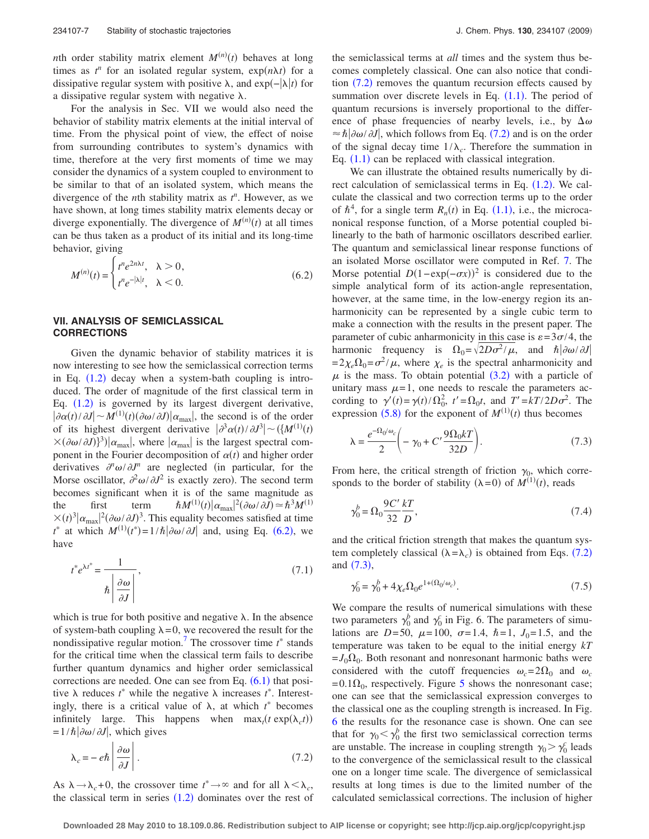*n*th order stability matrix element  $M^{(n)}(t)$  behaves at long times as  $t^n$  for an isolated regular system,  $exp(n\lambda t)$  for a dissipative regular system with positive λ, and exp(- $\vert \lambda \vert t$ ) for a dissipative regular system with negative  $\lambda$ .

For the analysis in Sec. VII we would also need the behavior of stability matrix elements at the initial interval of time. From the physical point of view, the effect of noise from surrounding contributes to system's dynamics with time, therefore at the very first moments of time we may consider the dynamics of a system coupled to environment to be similar to that of an isolated system, which means the divergence of the *n*th stability matrix as *t n* . However, as we have shown, at long times stability matrix elements decay or diverge exponentially. The divergence of  $M^{(n)}(t)$  at all times can be thus taken as a product of its initial and its long-time behavior, giving

<span id="page-6-0"></span>
$$
M^{(n)}(t) = \begin{cases} t^n e^{2n\lambda t}, & \lambda > 0, \\ t^n e^{-|\lambda|t}, & \lambda < 0. \end{cases}
$$
 (6.2)

# **VII. ANALYSIS OF SEMICLASSICAL CORRECTIONS**

Given the dynamic behavior of stability matrices it is now interesting to see how the semiclassical correction terms in Eq.  $(1.2)$  $(1.2)$  $(1.2)$  decay when a system-bath coupling is introduced. The order of magnitude of the first classical term in Eq.  $(1.2)$  $(1.2)$  $(1.2)$  is governed by its largest divergent derivative,  $|\partial \alpha(t)/\partial J| \sim M^{(1)}(t) (\partial \omega/\partial J)|\alpha_{\text{max}}|$ , the second is of the order of its highest divergent derivative  $|\partial^3 \alpha(t)/\partial J^3|$  ~  $(\frac{M^{(1)}(t)}{T})$  $\times (\partial \omega/\partial J)^3 |\alpha_{\text{max}}|$ , where  $|\alpha_{\text{max}}|$  is the largest spectral component in the Fourier decomposition of  $\alpha(t)$  and higher order derivatives  $\frac{\partial^n \omega}{\partial J^n}$  are neglected (in particular, for the Morse oscillator,  $\partial^2 \omega / \partial J^2$  is exactly zero). The second term becomes significant when it is of the same magnitude as the first term  $\hbar M^{(1)}(t) |\alpha_{\text{max}}|^2 (\partial \omega / \partial J) \simeq \hbar^3 M^{(1)}$  $\times(t)^3 |\alpha_{\text{max}}|^2 (\partial \omega / \partial J)^3$ . This equality becomes satisfied at time *t*<sup>\*</sup> at which  $M^{(1)}(t^*) = 1/\hbar |\partial \omega / \partial J|$  and, using Eq. ([6.2](#page-6-0)), we have

<span id="page-6-3"></span>
$$
t^* e^{\lambda t^*} = \frac{1}{\hbar \left| \frac{\partial \omega}{\partial J} \right|},\tag{7.1}
$$

which is true for both positive and negative  $\lambda$ . In the absence of system-bath coupling  $\lambda = 0$ , we recovered the result for the nondissipative regular motion.<sup>7</sup> The crossover time  $t^*$  stands for the critical time when the classical term fails to describe further quantum dynamics and higher order semiclassical corrections are needed. One can see from Eq.  $(6.1)$  $(6.1)$  $(6.1)$  that positive  $\lambda$  reduces  $t^*$  while the negative  $\lambda$  increases  $t^*$ . Interestingly, there is a critical value of  $\lambda$ , at which  $t^*$  becomes infinitely large. This happens when  $\max_t (t \exp(\lambda_c t))$  $= 1/\hbar \left| \partial \omega / \partial J \right|$ , which gives

<span id="page-6-1"></span>
$$
\lambda_c = -e\hbar \left| \frac{\partial \omega}{\partial J} \right|.
$$
\n(7.2)

As  $\lambda \rightarrow \lambda_c + 0$ , the crossover time  $t^* \rightarrow \infty$  and for all  $\lambda < \lambda_c$ , the classical term in series  $(1.2)$  $(1.2)$  $(1.2)$  dominates over the rest of the semiclassical terms at *all* times and the system thus becomes completely classical. One can also notice that condition  $(7.2)$  $(7.2)$  $(7.2)$  removes the quantum recursion effects caused by summation over discrete levels in Eq.  $(1.1)$  $(1.1)$  $(1.1)$ . The period of quantum recursions is inversely proportional to the difference of phase frequencies of nearby levels, i.e., by  $\Delta\omega$  $\approx \hbar |\partial \omega / \partial J|$ , which follows from Eq. ([7.2](#page-6-1)) and is on the order of the signal decay time  $1/\lambda_c$ . Therefore the summation in Eq.  $(1.1)$  $(1.1)$  $(1.1)$  can be replaced with classical integration.

We can illustrate the obtained results numerically by direct calculation of semiclassical terms in Eq.  $(1.2)$  $(1.2)$  $(1.2)$ . We calculate the classical and two correction terms up to the order of  $\hbar^4$ , for a single term  $R_n(t)$  in Eq. ([1.1](#page-0-2)), i.e., the microcanonical response function, of a Morse potential coupled bilinearly to the bath of harmonic oscillators described earlier. The quantum and semiclassical linear response functions of an isolated Morse oscillator were computed in Ref. [7.](#page-9-1) The Morse potential  $D(1 - \exp(-\sigma x))^2$  is considered due to the simple analytical form of its action-angle representation, however, at the same time, in the low-energy region its anharmonicity can be represented by a single cubic term to make a connection with the results in the present paper. The parameter of cubic anharmonicity in this case is  $\varepsilon = 3\sigma/4$ , the harmonic frequency is  $\Omega_0 = \sqrt{2D\sigma^2/\mu}$ , and  $\hbar |\partial \omega/\partial I|$  $=2\chi_e\Omega_0=\sigma^2/\mu$ , where  $\chi_e$  is the spectral anharmonicity and  $\mu$  is the mass. To obtain potential ([3.2](#page-2-2)) with a particle of unitary mass  $\mu=1$ , one needs to rescale the parameters according to  $\gamma'(t) = \gamma(t)/\Omega_0^2$ ,  $t' = \Omega_0 t$ , and  $T' = kT/2D\sigma^2$ . The expression ([5.8](#page-5-3)) for the exponent of  $M^{(1)}(t)$  thus becomes

<span id="page-6-2"></span>
$$
\lambda = \frac{e^{-\Omega_0/\omega_c}}{2} \left( -\gamma_0 + C' \frac{9\Omega_0 kT}{32D} \right). \tag{7.3}
$$

From here, the critical strength of friction  $\gamma_0$ , which corresponds to the border of stability  $(\lambda = 0)$  of  $M^{(1)}(t)$ , reads

$$
\gamma_0^b = \Omega_0 \frac{9C'}{32} \frac{kT}{D},\tag{7.4}
$$

and the critical friction strength that makes the quantum system completely classical  $(\lambda = \lambda_c)$  is obtained from Eqs. ([7.2](#page-6-1)) and  $(7.3)$  $(7.3)$  $(7.3)$ ,

<span id="page-6-4"></span>
$$
\gamma_0^c = \gamma_0^b + 4\chi_e \Omega_0 e^{1 + (\Omega_0/\omega_c)}.\tag{7.5}
$$

We compare the results of numerical simulations with these two parameters  $\gamma_0^b$  and  $\gamma_0^c$  in Fig. 6. The parameters of simulations are *D*=50,  $\mu$ =100,  $\sigma$ =1.4,  $\hbar$ =1, *J*<sub>0</sub>=1.5, and the temperature was taken to be equal to the initial energy *kT*  $=J_0\Omega_0$ . Both resonant and nonresonant harmonic baths were considered with the cutoff frequencies  $\omega_c = 2\Omega_0$  and  $\omega_c$  $=0.1\Omega_0$ , respectively. Figure [5](#page-7-0) shows the nonresonant case; one can see that the semiclassical expression converges to the classical one as the coupling strength is increased. In Fig. [6](#page-8-0) the results for the resonance case is shown. One can see that for  $\gamma_0 < \gamma_0^b$  the first two semiclassical correction terms are unstable. The increase in coupling strength  $\gamma_0 > \gamma_0^c$  leads to the convergence of the semiclassical result to the classical one on a longer time scale. The divergence of semiclassical results at long times is due to the limited number of the calculated semiclassical corrections. The inclusion of higher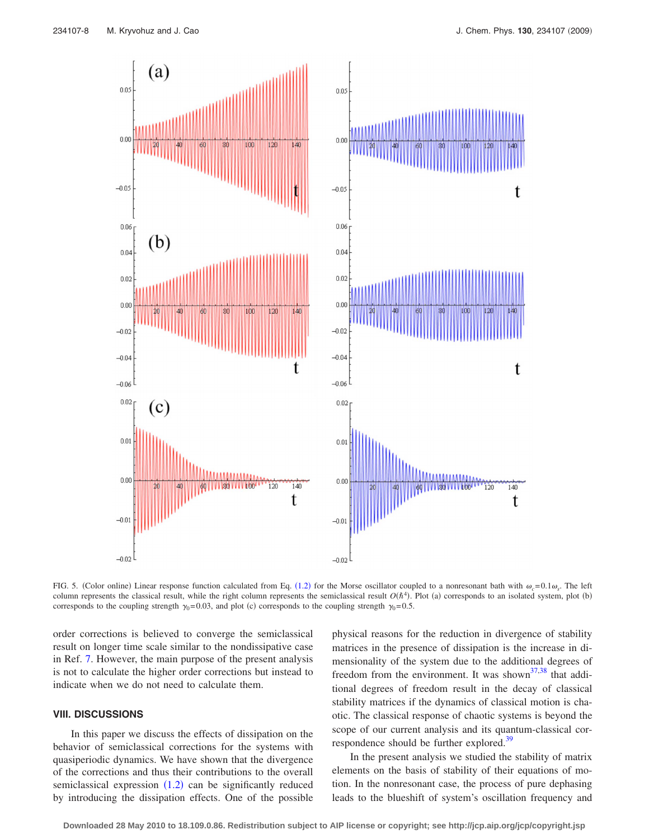<span id="page-7-0"></span>

FIG. 5. (Color online) Linear response function calculated from Eq. ([1.2](#page-0-1)) for the Morse oscillator coupled to a nonresonant bath with  $\omega_c = 0.1 \omega_s$ . The left column represents the classical result, while the right column represents the semiclassical result  $O(\hbar^4)$ . Plot (a) corresponds to an isolated system, plot (b) corresponds to the coupling strength  $\gamma_0=0.03$ , and plot (c) corresponds to the coupling strength  $\gamma_0=0.5$ .

order corrections is believed to converge the semiclassical result on longer time scale similar to the nondissipative case in Ref. [7.](#page-9-1) However, the main purpose of the present analysis is not to calculate the higher order corrections but instead to indicate when we do not need to calculate them.

# **VIII. DISCUSSIONS**

In this paper we discuss the effects of dissipation on the behavior of semiclassical corrections for the systems with quasiperiodic dynamics. We have shown that the divergence of the corrections and thus their contributions to the overall semiclassical expression  $(1.2)$  $(1.2)$  $(1.2)$  can be significantly reduced by introducing the dissipation effects. One of the possible physical reasons for the reduction in divergence of stability matrices in the presence of dissipation is the increase in dimensionality of the system due to the additional degrees of freedom from the environment. It was shown<sup>37,[38](#page-9-29)</sup> that additional degrees of freedom result in the decay of classical stability matrices if the dynamics of classical motion is chaotic. The classical response of chaotic systems is beyond the scope of our current analysis and its quantum-classical correspondence should be further explored.<sup>39</sup>

In the present analysis we studied the stability of matrix elements on the basis of stability of their equations of motion. In the nonresonant case, the process of pure dephasing leads to the blueshift of system's oscillation frequency and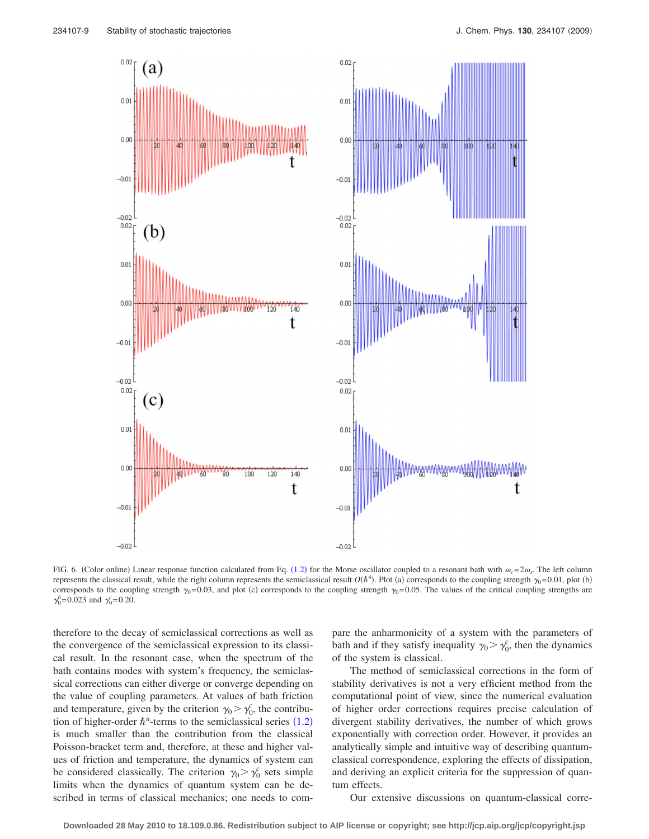100

uad

140

<span id="page-8-0"></span>

FIG. 6. (Color online) Linear response function calculated from Eq. ([1.2](#page-0-1)) for the Morse oscillator coupled to a resonant bath with  $\omega_c = 2\omega_s$ . The left column represents the classical result, while the right column represents the semiclassical result  $O(\hbar^4)$ . Plot (a) corresponds to the coupling strength  $\gamma_0$ =0.01, plot (b) corresponds to the coupling strength  $\gamma_0$ =0.03, and plot (c) corresponds to the coupling strength  $\gamma_0$ =0.05. The values of the critical coupling strengths are  $\gamma_0^b = 0.023$  and  $\gamma_0^c = 0.20$ .

therefore to the decay of semiclassical corrections as well as the convergence of the semiclassical expression to its classical result. In the resonant case, when the spectrum of the bath contains modes with system's frequency, the semiclassical corrections can either diverge or converge depending on the value of coupling parameters. At values of bath friction and temperature, given by the criterion  $\gamma_0 > \gamma_0^c$ , the contribution of higher-order  $\hbar^n$ -terms to the semiclassical series  $(1.2)$  $(1.2)$  $(1.2)$ is much smaller than the contribution from the classical Poisson-bracket term and, therefore, at these and higher values of friction and temperature, the dynamics of system can be considered classically. The criterion  $\gamma_0 > \gamma_0^c$  sets simple limits when the dynamics of quantum system can be described in terms of classical mechanics; one needs to compare the anharmonicity of a system with the parameters of bath and if they satisfy inequality  $\gamma_0 > \gamma_0^c$ , then the dynamics of the system is classical.

The method of semiclassical corrections in the form of stability derivatives is not a very efficient method from the computational point of view, since the numerical evaluation of higher order corrections requires precise calculation of divergent stability derivatives, the number of which grows exponentially with correction order. However, it provides an analytically simple and intuitive way of describing quantumclassical correspondence, exploring the effects of dissipation, and deriving an explicit criteria for the suppression of quantum effects.

Our extensive discussions on quantum-classical corre-